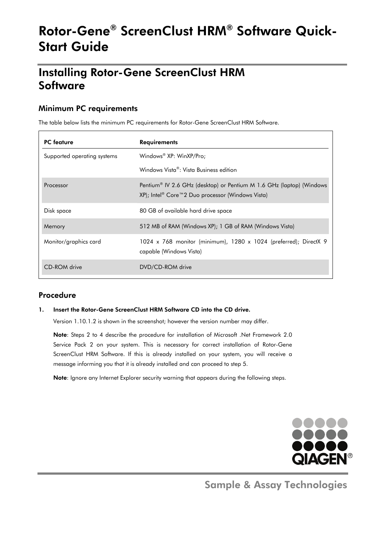# Rotor-Gene® ScreenClust HRM® Software Quick-Start Guide

## Installing Rotor-Gene ScreenClust HRM **Software**

## Minimum PC requirements

The table below lists the minimum PC requirements for Rotor-Gene ScreenClust HRM Software.

| <b>PC</b> feature           | <b>Requirements</b>                                                                                                                              |
|-----------------------------|--------------------------------------------------------------------------------------------------------------------------------------------------|
| Supported operating systems | Windows <sup>®</sup> XP: WinXP/Pro;                                                                                                              |
|                             | Windows Vista®: Vista Business edition                                                                                                           |
| Processor                   | Pentium <sup>®</sup> IV 2.6 GHz (desktop) or Pentium M 1.6 GHz (laptop) (Windows<br>XP); Intel <sup>®</sup> Core™2 Duo processor (Windows Vista) |
| Disk space                  | 80 GB of available hard drive space                                                                                                              |
| Memory                      | 512 MB of RAM (Windows XP); 1 GB of RAM (Windows Vista)                                                                                          |
| Monitor/graphics card       | 1024 x 768 monitor (minimum), 1280 x 1024 (preferred); DirectX 9<br>capable (Windows Vista)                                                      |
| CD-ROM drive                | DVD/CD-ROM drive                                                                                                                                 |

### Procedure

#### 1. Insert the Rotor-Gene ScreenClust HRM Software CD into the CD drive.

Version 1.10.1.2 is shown in the screenshot; however the version number may differ.

Note: Steps 2 to 4 describe the procedure for installation of Microsoft .Net Framework 2.0 Service Pack 2 on your system. This is necessary for correct installation of Rotor-Gene ScreenClust HRM Software. If this is already installed on your system, you will receive a message informing you that it is already installed and can proceed to step 5.

Note: Ignore any Internet Explorer security warning that appears during the following steps.



Sample & Assay Technologies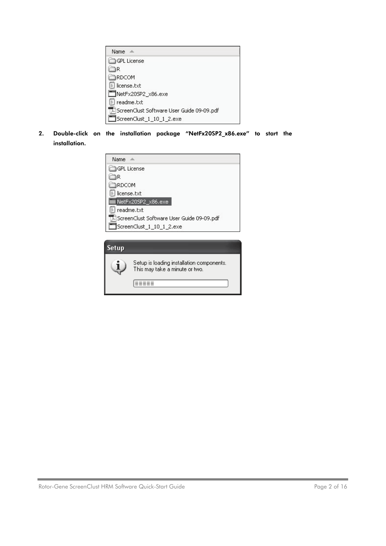| Name                             |                                             |
|----------------------------------|---------------------------------------------|
| GPL License                      |                                             |
|                                  |                                             |
| RDCOM                            |                                             |
| $E$ license.txt                  |                                             |
|                                  | NetFx20SP2_x86.exe                          |
| $\left[\equiv\right]$ readme.txt |                                             |
|                                  | T-ScreenClust Software User Guide 09-09.pdf |
|                                  | ScreenClust_1_10_1_2.exe                    |

2. Double-click on the installation package "NetFx20SP2\_x86.exe" to start the installation.

| Name.                   |                                            |
|-------------------------|--------------------------------------------|
| <b>GPL License</b>      |                                            |
|                         |                                            |
| <b>RDCOM</b>            |                                            |
| license.txt<br>$\equiv$ |                                            |
|                         | NetFx205P2_x86.exe                         |
| Ë<br>readme.txt         |                                            |
|                         | ©ScreenClust Software User Guide 09-09.pdf |
|                         | ScreenClust_1_10_1_2.exe                   |

| Setup |                                                                             |
|-------|-----------------------------------------------------------------------------|
|       | Setup is loading installation components.<br>This may take a minute or two. |
|       |                                                                             |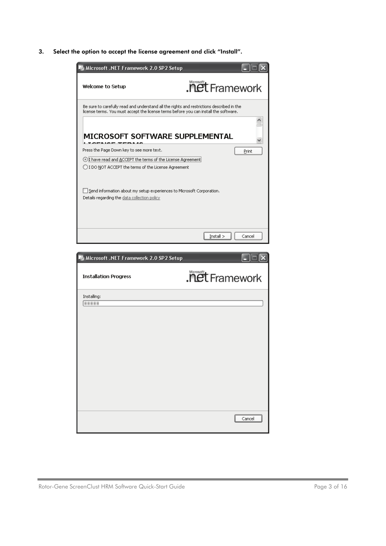3. Select the option to accept the license agreement and click "Install".



| Microsoft .NET Framework 2.0 SP2 Setup: ## |                |  |
|--------------------------------------------|----------------|--|
| <b>Installation Progress</b>               | .net Framework |  |
| Installing:                                |                |  |
| <b>TELES</b>                               |                |  |
|                                            |                |  |
|                                            |                |  |
|                                            |                |  |
|                                            |                |  |
|                                            |                |  |
|                                            |                |  |
|                                            |                |  |
|                                            |                |  |
|                                            |                |  |
|                                            | <br>Cancel     |  |
|                                            |                |  |
|                                            |                |  |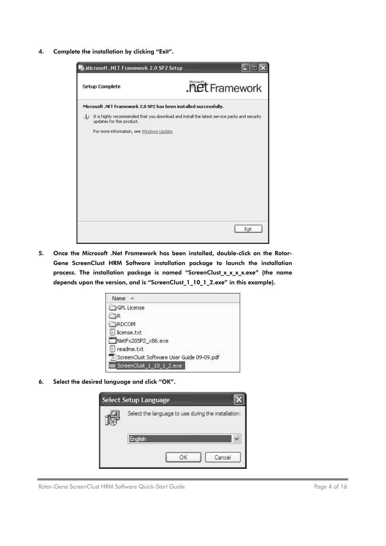4. Complete the installation by clicking "Exit".



5. Once the Microsoft .Net Framework has been installed, double-click on the Rotor-Gene ScreenClust HRM Software installation package to launch the installation process. The installation package is named "ScreenClust\_x\_x\_x\_x.exe" (the name depends upon the version, and is "ScreenClust\_1\_10\_1\_2.exe" in this example).

| Name                                      |
|-------------------------------------------|
| GPL License                               |
| R                                         |
| <b>IRDCOM</b>                             |
| n<br>license.txt                          |
| NetFx20SP2_x86.exe                        |
| readme.txt<br>$\equiv$                    |
| ScreenClust Software User Guide 09-09.pdf |
| ScreenClust_1_10_1_2.exe                  |

6. Select the desired language and click "OK".

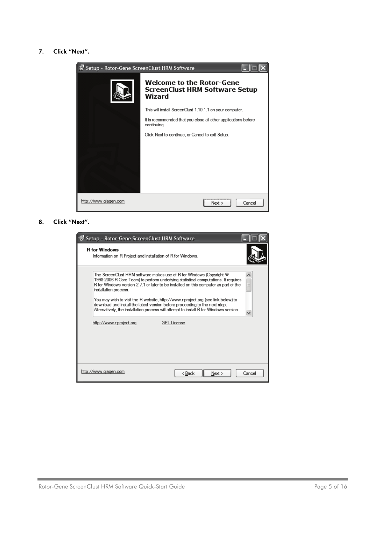#### 7. Click "Next".



8. Click "Next".

| Setup - Rotor-Gene ScreenClust HRM Software                                                                                                                                                                                                                                                                                                                                                                                                                                                                                              |
|------------------------------------------------------------------------------------------------------------------------------------------------------------------------------------------------------------------------------------------------------------------------------------------------------------------------------------------------------------------------------------------------------------------------------------------------------------------------------------------------------------------------------------------|
| <b>R</b> for Windows<br>Information on R Project and installation of R for Windows.                                                                                                                                                                                                                                                                                                                                                                                                                                                      |
| The ScreenClust HRM software makes use of R for Windows (Copyright ©<br>1998-2006 R Core Team) to perform underlying statistical computations. It requires<br>R for Windows version 2.7.1 or later to be installed on this computer as part of the<br>installation process.<br>You may wish to visit the R website, http://www.r-project.org (see link below) to<br>download and install the latest version before proceeding to the next step.<br>Alternatively, the installation process will attempt to install R for Windows version |
| http://www.r-project.org<br><b>GPL</b> License                                                                                                                                                                                                                                                                                                                                                                                                                                                                                           |
| http://www.giagen.com<br>Next<br>< Back<br>Cancel                                                                                                                                                                                                                                                                                                                                                                                                                                                                                        |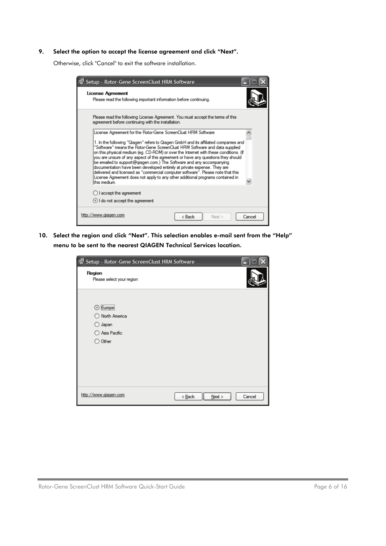#### 9. Select the option to accept the license agreement and click "Next".

Otherwise, click "Cancel" to exit the software installation.

| <sup>1</sup> Setup - Rotor-Gene ScreenClust HRM Software                                                                                                                                                                                                                                                                                                                                                                                                                                                                                                                                                                                                                                                                                               |
|--------------------------------------------------------------------------------------------------------------------------------------------------------------------------------------------------------------------------------------------------------------------------------------------------------------------------------------------------------------------------------------------------------------------------------------------------------------------------------------------------------------------------------------------------------------------------------------------------------------------------------------------------------------------------------------------------------------------------------------------------------|
| <b>License Agreement</b><br>Please read the following important information before continuing.                                                                                                                                                                                                                                                                                                                                                                                                                                                                                                                                                                                                                                                         |
| Please read the following License Agreement. You must accept the terms of this<br>agreement before continuing with the installation.                                                                                                                                                                                                                                                                                                                                                                                                                                                                                                                                                                                                                   |
| License Agreement for the Rotor-Gene ScreenClust HRM Software<br>1. In the following "Qiagen" refers to Qiagen GmbH and its affiliated companies and<br>"Software" means the Rotor-Gene ScreenClust HRM Software and data supplied<br>on this physical medium (eq. CD-ROM) or over the Internet with these conditions. (If<br>you are unsure of any aspect of this agreement or have any questions they should<br>be emailed to support@qiagen.com.) The Software and any accompanying<br>documentation have been developed entirely at private expense. They are<br>delivered and licensed as "commercial computer software". Please note that this<br>License Agreement does not apply to any other additional programs contained in<br>this medium. |
| $\bigcirc$ I accept the agreement                                                                                                                                                                                                                                                                                                                                                                                                                                                                                                                                                                                                                                                                                                                      |
| I do not accept the agreement                                                                                                                                                                                                                                                                                                                                                                                                                                                                                                                                                                                                                                                                                                                          |
| http://www.giagen.com<br>< Back<br>Next<br>Cancel                                                                                                                                                                                                                                                                                                                                                                                                                                                                                                                                                                                                                                                                                                      |

10. Select the region and click "Next". This selection enables e-mail sent from the "Help" menu to be sent to the nearest QIAGEN Technical Services location.

| 语 Setup - Rotor-Gene ScreenClust HRM Software                                                         |                       |        |
|-------------------------------------------------------------------------------------------------------|-----------------------|--------|
| Region<br>Please select your region                                                                   |                       |        |
| ,,,,,,,,,,,,,,,,<br>C Europe<br>North America<br>Japan<br>$\left( \right)$<br>◯ Asia Pacific<br>Other |                       |        |
| http://www.qiagen.com                                                                                 | $<$ Back<br>$N$ ext > | Cancel |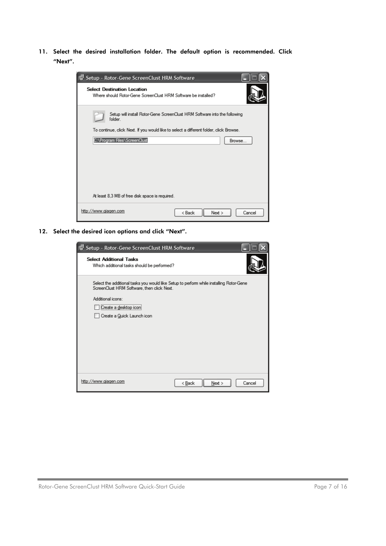11. Select the desired installation folder. The default option is recommended. Click "Next".

| is Setup - Rotor-Gene ScreenClust HRM Software                                                       |
|------------------------------------------------------------------------------------------------------|
| <b>Select Destination Location</b><br>Where should Rotor-Gene ScreenClust HRM Software be installed? |
| Setup will install Rotor-Gene ScreenClust HRM Software into the following<br>folder.                 |
| To continue, click Next. If you would like to select a different folder, click Browse.               |
| C:\Program Files\ScreenClust<br>Browse                                                               |
|                                                                                                      |
| At least 8,3 MB of free disk space is required.                                                      |
| http://www.qiagen.com<br>< Back<br>Next<br>Cancel                                                    |

12. Select the desired icon options and click "Next".

| is Setup - Rotor-Gene ScreenClust HRM Software                                                                                        |
|---------------------------------------------------------------------------------------------------------------------------------------|
| <b>Select Additional Tasks</b><br>Which additional tasks should be performed?                                                         |
| Select the additional tasks you would like Setup to perform while installing Rotor-Gene<br>ScreenClust HRM Software, then click Next. |
| Additional icons:                                                                                                                     |
| Create a desktop icon                                                                                                                 |
| Create a Quick Launch icon                                                                                                            |
|                                                                                                                                       |
|                                                                                                                                       |
|                                                                                                                                       |
|                                                                                                                                       |
|                                                                                                                                       |
|                                                                                                                                       |
| http://www.giagen.com<br>< Back<br>Cancel<br>Next                                                                                     |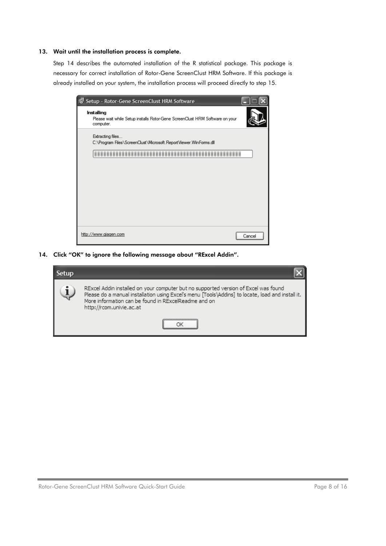#### 13. Wait until the installation process is complete.

Step 14 describes the automated installation of the R statistical package. This package is necessary for correct installation of Rotor-Gene ScreenClust HRM Software. If this package is already installed on your system, the installation process will proceed directly to step 15.

| 18 Setup - Rotor-Gene ScreenClust HRM Software                                                          |  |
|---------------------------------------------------------------------------------------------------------|--|
| Installing<br>Please wait while Setup installs Rotor-Gene ScreenClust HRM Software on your<br>computer. |  |
| Extracting files<br>C:\Program Files\ScreenClust\Microsoft.ReportViewer.WinForms.dll                    |  |
|                                                                                                         |  |
|                                                                                                         |  |
|                                                                                                         |  |
|                                                                                                         |  |
|                                                                                                         |  |
| http://www.qiagen.com<br>Cancel                                                                         |  |

14. Click "OK" to ignore the following message about "RExcel Addin".

| Setup |                                                                                                                                                                                                                                                                              |
|-------|------------------------------------------------------------------------------------------------------------------------------------------------------------------------------------------------------------------------------------------------------------------------------|
|       | RExcel Addin installed on your computer but no supported version of Excel was found<br>Please do a manual installation using Excel's menu [Tools\Addins] to locate, load and install it.<br>More information can be found in RExcelReadme and on<br>http://rcom.univie.ac.at |
|       |                                                                                                                                                                                                                                                                              |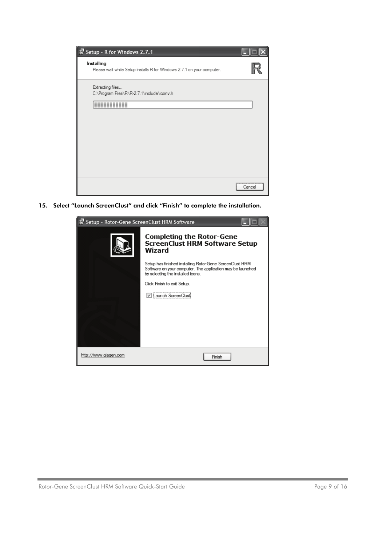| i <sup>n</sup> Setup - R for Windows 2.7.1                                           |       |
|--------------------------------------------------------------------------------------|-------|
| Installing<br>Please wait while Setup installs R for Windows 2.7.1 on your computer. |       |
| Extracting files<br>C:\Program Files\R\R-2.7.1\include\iconv.h                       |       |
|                                                                                      |       |
|                                                                                      |       |
|                                                                                      |       |
|                                                                                      |       |
|                                                                                      |       |
|                                                                                      | .ance |

15. Select "Launch ScreenClust" and click "Finish" to complete the installation.

| 18 Setup - Rotor-Gene ScreenClust HRM Software |                                                                                                                                                             |  |  |
|------------------------------------------------|-------------------------------------------------------------------------------------------------------------------------------------------------------------|--|--|
|                                                | <b>Completing the Rotor-Gene</b><br><b>ScreenClust HRM Software Setup</b><br>Wizard                                                                         |  |  |
|                                                | Setup has finished installing Rotor-Gene ScreenClust HRM<br>Software on your computer. The application may be launched<br>by selecting the installed icons. |  |  |
|                                                | Click Finish to exit Setup.                                                                                                                                 |  |  |
|                                                | :Launch ScreenClu                                                                                                                                           |  |  |
|                                                |                                                                                                                                                             |  |  |
|                                                |                                                                                                                                                             |  |  |
|                                                |                                                                                                                                                             |  |  |
|                                                |                                                                                                                                                             |  |  |
| http://www.qiagen.com                          | Finish                                                                                                                                                      |  |  |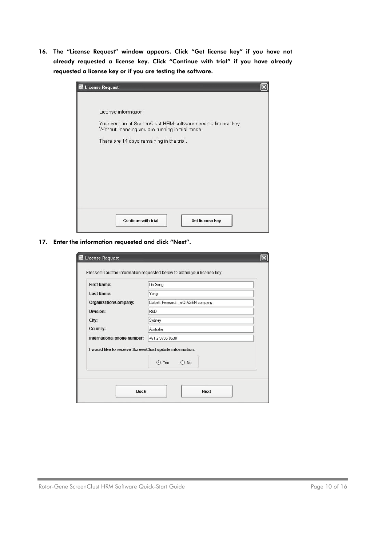16. The "License Request" window appears. Click "Get license key" if you have not already requested a license key. Click "Continue with trial" if you have already requested a license key or if you are testing the software.

| License Request                                                                                                   |
|-------------------------------------------------------------------------------------------------------------------|
|                                                                                                                   |
|                                                                                                                   |
| License information:                                                                                              |
| Your version of ScreenClust HRM software needs a license key.<br>Without licensing you are running in trial mode. |
| There are 14 days remaining in the trial.                                                                         |
|                                                                                                                   |
|                                                                                                                   |
|                                                                                                                   |
|                                                                                                                   |
|                                                                                                                   |
|                                                                                                                   |
|                                                                                                                   |
| <b>Continue with trial</b><br>Get license key                                                                     |
|                                                                                                                   |

17. Enter the information requested and click "Next".

| <b>First Name:</b>                                      | Lin Song                           |  |  |  |
|---------------------------------------------------------|------------------------------------|--|--|--|
| <b>Last Name:</b>                                       | Yang                               |  |  |  |
| Organization/Company:                                   | Corbett Research, a QIAGEN company |  |  |  |
| Division:                                               | R&D                                |  |  |  |
| City:                                                   | Sydney                             |  |  |  |
| Country:                                                | Australia                          |  |  |  |
| International phone number:                             | +61 2 9736 0630                    |  |  |  |
| I would like to receive ScreenClust update information: | ⊙ Yes<br>$\bigcirc$ No             |  |  |  |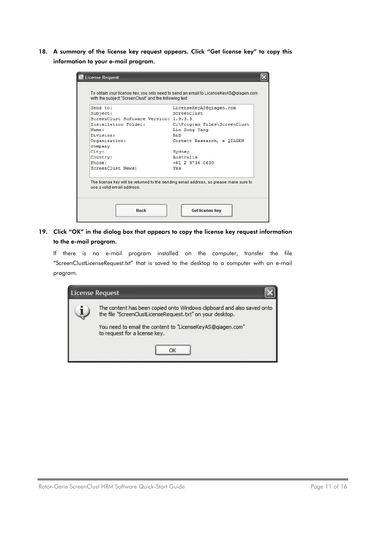18. A summary of the license key request appears. Click "Get license key" to copy this information to your e-mail program.

| Send to:                                                                                                           | LicenseKeyAS@qiagen.com      |
|--------------------------------------------------------------------------------------------------------------------|------------------------------|
| Subject:                                                                                                           | ScreenClust                  |
| ScreenClust Software Version: 1.9.3.3                                                                              |                              |
| Installation Folder:                                                                                               | C:\Program Files\ScreenClust |
| Name:                                                                                                              | Lin Song Yang                |
| Division:                                                                                                          | R&D.                         |
| Organization:                                                                                                      | Corbett Research, a QIAGEN   |
| company                                                                                                            |                              |
| City:                                                                                                              | Sydney                       |
| Country:                                                                                                           | Australia                    |
| Phone:                                                                                                             | +61 2 9736 0630              |
| ScreenClust News:                                                                                                  | Yes                          |
| The license key will be returned to the sending email address, so please make sure to<br>use a valid email address | Get license key              |

19. Click "OK" in the dialog box that appears to copy the license key request information to the e-mail program.

If there is no e-mail program installed on the computer, transfer the file "ScreenClustLicenseRequest.txt" that is saved to the desktop to a computer with an e-mail program.

| <b>License Request</b>                                                                                                                                                                                                            |
|-----------------------------------------------------------------------------------------------------------------------------------------------------------------------------------------------------------------------------------|
| The content has been copied onto Windows dipboard and also saved onto<br>the file "ScreenClustLicenseRequest.txt" on your desktop.<br>You need to email the content to "LicenseKeyAS@qiagen.com"<br>to request for a license key. |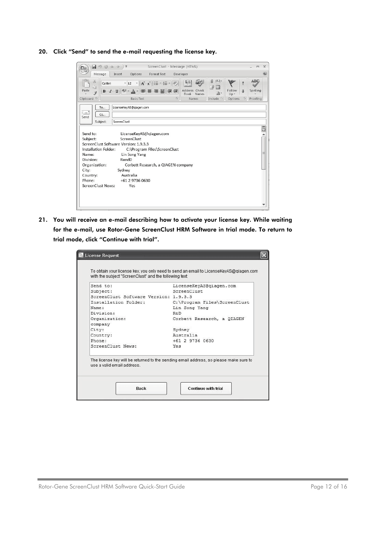20. Click "Send" to send the e-mail requesting the license key.

|                                                                                  | Message<br>Options<br>Format Text<br>Developer<br>Insert |                                                                                            |                                                         |                                                        | $\odot$                                           |                  |                   |                 |
|----------------------------------------------------------------------------------|----------------------------------------------------------|--------------------------------------------------------------------------------------------|---------------------------------------------------------|--------------------------------------------------------|---------------------------------------------------|------------------|-------------------|-----------------|
| da<br>L)<br>Paste<br>$\mathcal{A}$                                               | Calibri<br>$-12$<br>$ab^2$ +<br>$B$ $I$ $U$<br>$A$ .     | $\mathbf{A} \mathbf{A}^{\dagger}$ $\mathbf{A}^{\dagger}$ $\mathbf{A}^{\dagger}$<br>■ 三 三 首 | $\overset{\text{A31}}{\leftrightarrow}$<br>・狂<br>編<br>征 | 88<br>$\mathbb{R}$ @<br>Address Check<br>Book<br>Names | $\overline{12}$<br>Ū<br>19<br>m<br>$\mathbb{Z}^*$ | Follow<br>$Up -$ | ÿ<br>$\mathbb{I}$ | ABC<br>Spelling |
| Clipboard <sup>Is</sup>                                                          | <b>Basic Text</b>                                        |                                                                                            | Tsi                                                     | Names                                                  | Include <sup>13</sup>                             | Options          | 后                 | Proofing        |
| To<br>$=$<br>Cc<br>Send                                                          | LicenseKeyAS@giagen.com                                  |                                                                                            |                                                         |                                                        |                                                   |                  |                   |                 |
| Subject:                                                                         | ScreenClust                                              |                                                                                            |                                                         |                                                        |                                                   |                  |                   |                 |
| Send to:                                                                         |                                                          |                                                                                            |                                                         |                                                        |                                                   |                  |                   |                 |
|                                                                                  |                                                          |                                                                                            |                                                         |                                                        |                                                   |                  |                   |                 |
|                                                                                  | ScreenClust                                              | LicenseKeyAS@qiagen.com                                                                    |                                                         |                                                        |                                                   |                  |                   | 1图              |
|                                                                                  | ScreenClust Software Version: 1.9.3.3                    |                                                                                            |                                                         |                                                        |                                                   |                  |                   |                 |
|                                                                                  |                                                          | C:\Program Files\ScreenClust                                                               |                                                         |                                                        |                                                   |                  |                   |                 |
|                                                                                  | Lin Song Yang                                            |                                                                                            |                                                         |                                                        |                                                   |                  |                   |                 |
|                                                                                  | RandD                                                    |                                                                                            |                                                         |                                                        |                                                   |                  |                   |                 |
|                                                                                  |                                                          | Corbett Research, a QIAGEN company                                                         |                                                         |                                                        |                                                   |                  |                   |                 |
| Subject:<br>Installation Folder:<br>Name:<br>Division:<br>Organization:<br>City: | Sydney                                                   |                                                                                            |                                                         |                                                        |                                                   |                  |                   |                 |
| Country:                                                                         | Australia                                                |                                                                                            |                                                         |                                                        |                                                   |                  |                   |                 |
| Phone:                                                                           | +61 2 9736 0630                                          |                                                                                            |                                                         |                                                        |                                                   |                  |                   | 亖               |
| ScreenClust News:                                                                | Yes                                                      |                                                                                            |                                                         |                                                        |                                                   |                  |                   |                 |
|                                                                                  |                                                          |                                                                                            |                                                         |                                                        |                                                   |                  |                   |                 |

21. You will receive an e-mail describing how to activate your license key. While waiting for the e-mail, use Rotor-Gene ScreenClust HRM Software in trial mode. To return to trial mode, click "Continue with trial".

| Send to:                              | LicenseKeyAS@giagen.com                                                                                             |
|---------------------------------------|---------------------------------------------------------------------------------------------------------------------|
| Subject:                              | ScreenClust                                                                                                         |
| ScreenClust Software Version: 1.9.3.3 |                                                                                                                     |
| Installation Folder:                  | C:\Program Files\ScreenClust                                                                                        |
| Name:                                 | Lin Song Yang                                                                                                       |
| Division:                             | <b>R&amp;D</b>                                                                                                      |
| Organization:                         | Corbett Research, a OIAGEN                                                                                          |
| company                               |                                                                                                                     |
| City:                                 | Sydney                                                                                                              |
| Country:                              | Australia                                                                                                           |
| Phone:                                | +61 2 9736 0630                                                                                                     |
| ScreenClust News:                     | Yes                                                                                                                 |
| use a valid email address<br>Back     | The license key will be returned to the sending email address, so please make sure to<br><b>Continue with trial</b> |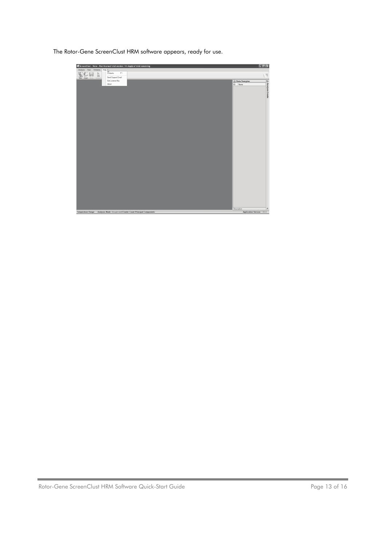The Rotor-Gene ScreenClust HRM software appears, ready for use.

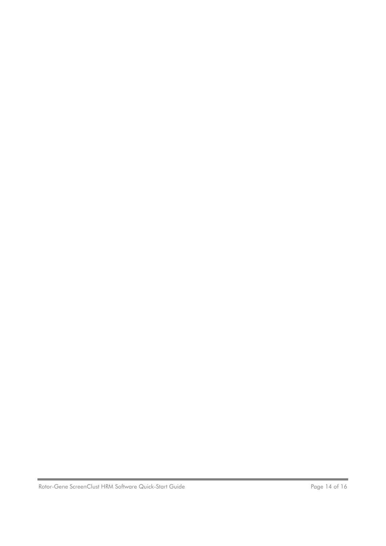ï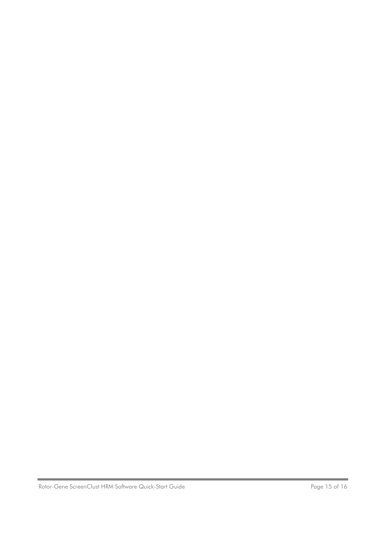ï